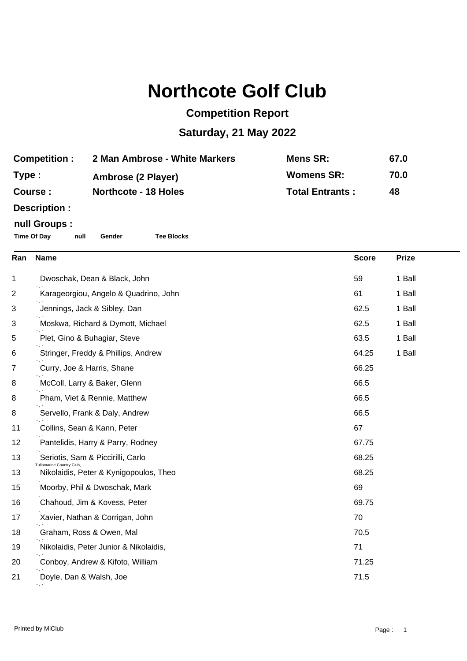# **Northcote Golf Club**

## **Competition Report**

### **Saturday, 21 May 2022**

| <b>Competition:</b> | 2 Man Ambrose - White Markers | Mens SR:               | 67.0 |
|---------------------|-------------------------------|------------------------|------|
| Type :              | Ambrose (2 Player)            | <b>Womens SR:</b>      | 70.0 |
| <b>Course :</b>     | <b>Northcote - 18 Holes</b>   | <b>Total Entrants:</b> | 48   |

**Description :**

#### **null Groups :**

**Time Of Day null Gender Tee Blocks**

| Ran | <b>Name</b>                                                    | <b>Score</b> | <b>Prize</b> |
|-----|----------------------------------------------------------------|--------------|--------------|
| 1   | Dwoschak, Dean & Black, John                                   | 59           | 1 Ball       |
| 2   | Karageorgiou, Angelo & Quadrino, John                          | 61           | 1 Ball       |
| 3   | Jennings, Jack & Sibley, Dan                                   | 62.5         | 1 Ball       |
| 3   | Moskwa, Richard & Dymott, Michael                              | 62.5         | 1 Ball       |
| 5   | Plet, Gino & Buhagiar, Steve                                   | 63.5         | 1 Ball       |
| 6   | Stringer, Freddy & Phillips, Andrew                            | 64.25        | 1 Ball       |
| 7   | Curry, Joe & Harris, Shane                                     | 66.25        |              |
| 8   | McColl, Larry & Baker, Glenn                                   | 66.5         |              |
| 8   | Pham, Viet & Rennie, Matthew                                   | 66.5         |              |
| 8   | Servello, Frank & Daly, Andrew                                 | 66.5         |              |
| 11  | Collins, Sean & Kann, Peter                                    | 67           |              |
| 12  | Pantelidis, Harry & Parry, Rodney                              | 67.75        |              |
| 13  | Seriotis, Sam & Piccirilli, Carlo<br>Tullamarine Country Club. | 68.25        |              |
| 13  | Nikolaidis, Peter & Kynigopoulos, Theo                         | 68.25        |              |
| 15  | Moorby, Phil & Dwoschak, Mark                                  | 69           |              |
| 16  | Chahoud, Jim & Kovess, Peter                                   | 69.75        |              |
| 17  | Xavier, Nathan & Corrigan, John                                | 70           |              |
| 18  | Graham, Ross & Owen, Mal                                       | 70.5         |              |
| 19  | Nikolaidis, Peter Junior & Nikolaidis,                         | 71           |              |
| 20  | Conboy, Andrew & Kifoto, William                               | 71.25        |              |
| 21  | Doyle, Dan & Walsh, Joe                                        | 71.5         |              |
|     |                                                                |              |              |